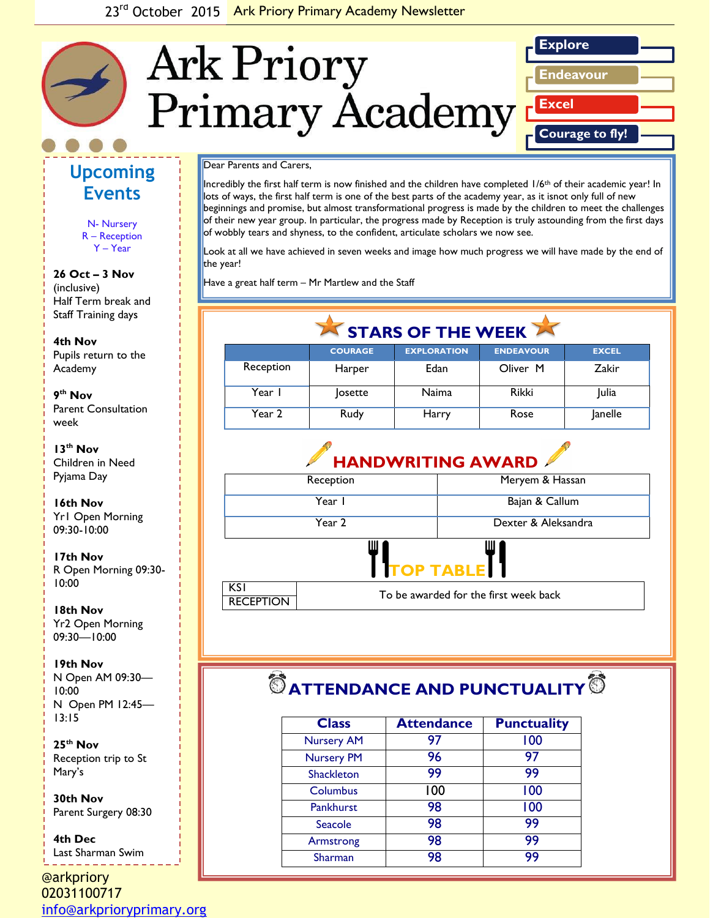

## **Upcoming Events**

N- Nursery R – Reception Y – Year

**26 Oct – 3 Nov** (inclusive) Half Term break and Staff Training days

*picture or graphic.* **4th Nov** Pupils return to the Academy

**9 th Nov** Parent Consultation week

**13th Nov** Children in Need Pyjama Day

#### **16th Nov** Yr1 Open Morning 09:30-10:00

**17th Nov**  R Open Morning 09:30- 10:00

**18th Nov** Yr2 Open Morning 09:30—10:00

**19th Nov** N Open AM 09:30— 10:00 N Open PM 12:45— 13:15

**25th Nov** Reception trip to St Mary's

**30th Nov** Parent Surgery 08:30

**4th Dec** Last Sharman Swim

@arkpriory 02031100717 [info@arkprioryprimary.org](mailto:info@arkprioryprimary.org) 

Dear Parents and Carers,

Incredibly the first half term is now finished and the children have completed 1/6<sup>th</sup> of their academic year! In lots of ways, the first half term is one of the best parts of the academy year, as it isnot only full of new beginnings and promise, but almost transformational progress is made by the children to meet the challenges of their new year group. In particular, the progress made by Reception is truly astounding from the first days of wobbly tears and shyness, to the confident, articulate scholars we now see.

Look at all we have achieved in seven weeks and image how much progress we will have made by the end of the year!

Have a great half term – Mr Martlew and the Staff

| STARS OF THE WEEK |                |                    |                  |              |  |
|-------------------|----------------|--------------------|------------------|--------------|--|
|                   | <b>COURAGE</b> | <b>EXPLORATION</b> | <b>ENDEAVOUR</b> | <b>EXCEL</b> |  |
| Reception         | Harper         | Edan               | Oliver M         | Zakir        |  |
| Year I            | <b>losette</b> | <b>Naima</b>       | <b>Rikki</b>     | Julia        |  |
| Year 2            | Rudy           | Harry              | Rose             | Janelle      |  |



# $\bullet$  ATTENDANCE AND PUNCTUALITY  $\bullet$

| <b>Class</b>      | <b>Attendance</b> | <b>Punctuality</b> |
|-------------------|-------------------|--------------------|
| <b>Nursery AM</b> | 97                | 100                |
| <b>Nursery PM</b> | 96                | 97                 |
| <b>Shackleton</b> | 99                | 99                 |
| Columbus          | 100               | 100                |
| Pankhurst         | 98                | 100                |
| Seacole           | 98                | 99                 |
| Armstrong         | 98                | 99                 |
| Sharman           | 98                | 99                 |